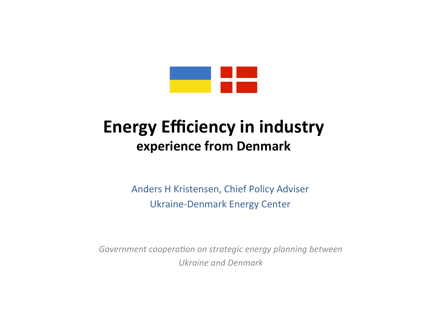

#### **Energy Efficiency in industry experience from Denmark**

Anders H Kristensen, Chief Policy Adviser Ukraine-Denmark Energy Center

Government cooperation on strategic energy planning between *Ukraine and Denmark*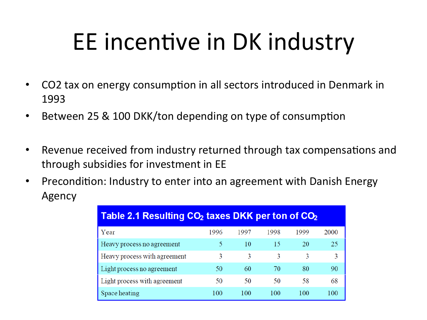# EE incentive in DK industry

- CO2 tax on energy consumption in all sectors introduced in Denmark in 1993
- Between 25 & 100 DKK/ton depending on type of consumption
- Revenue received from industry returned through tax compensations and through subsidies for investment in EE
- Precondition: Industry to enter into an agreement with Danish Energy Agency

| Table 2.1 Resulting CO <sub>2</sub> taxes DKK per ton of CO <sub>2</sub> |      |      |      |      |      |
|--------------------------------------------------------------------------|------|------|------|------|------|
| Year                                                                     | 1996 | 1997 | 1998 | 1999 | 2000 |
| Heavy process no agreement                                               | 5    | 10   | 15   | 20   | 25   |
| Heavy process with agreement                                             | 3    | 3    | 3    | 3    | 3    |
| Light process no agreement                                               | 50   | 60   | 70   | 80   | 90   |
| Light process with agreement                                             | 50   | 50   | 50   | 58   | 68   |
| Space heating                                                            | 100  | 100  | 100  | 100  | 100  |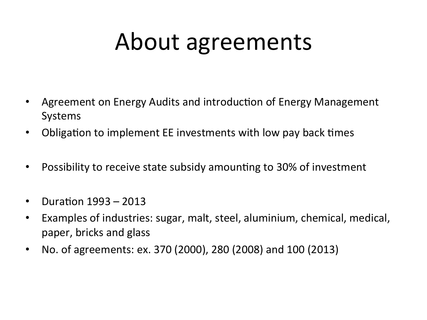## About agreements

- Agreement on Energy Audits and introduction of Energy Management Systems
- Obligation to implement EE investments with low pay back times
- Possibility to receive state subsidy amounting to 30% of investment
- Duration  $1993 2013$
- Examples of industries: sugar, malt, steel, aluminium, chemical, medical, paper, bricks and glass
- No. of agreements: ex. 370 (2000), 280 (2008) and 100 (2013)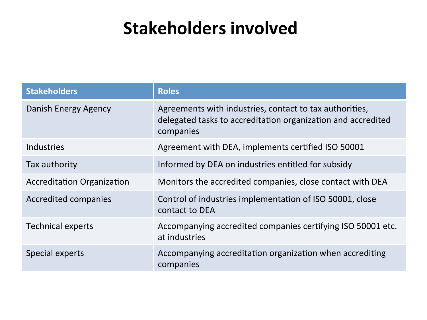#### **Stakeholders involved**

| <b>Stakeholders</b>               | <b>Roles</b>                                                                                                                         |
|-----------------------------------|--------------------------------------------------------------------------------------------------------------------------------------|
| Danish Energy Agency              | Agreements with industries, contact to tax authorities,<br>delegated tasks to accreditation organization and accredited<br>companies |
| <b>Industries</b>                 | Agreement with DEA, implements certified ISO 50001                                                                                   |
| Tax authority                     | Informed by DEA on industries entitled for subsidy                                                                                   |
| <b>Accreditation Organization</b> | Monitors the accredited companies, close contact with DEA                                                                            |
| <b>Accredited companies</b>       | Control of industries implementation of ISO 50001, close<br>contact to DEA                                                           |
| <b>Technical experts</b>          | Accompanying accredited companies certifying ISO 50001 etc.<br>at industries                                                         |
| Special experts                   | Accompanying accreditation organization when accrediting<br>companies                                                                |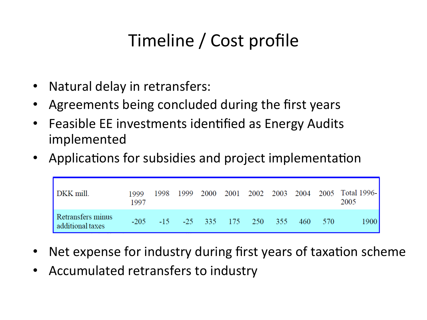## Timeline / Cost profile

- Natural delay in retransfers:
- Agreements being concluded during the first years
- Feasible EE investments identified as Energy Audits implemented
- Applications for subsidies and project implementation

| DKK mill.                             | 1999<br>1997 |                                                        |  |  |  | 1998 1999 2000 2001 2002 2003 2004 2005 Total 1996-<br>2005 |
|---------------------------------------|--------------|--------------------------------------------------------|--|--|--|-------------------------------------------------------------|
| Retransfers minus<br>additional taxes |              | $-205$ $-15$ $-25$ $335$ $175$ $250$ $355$ $460$ $570$ |  |  |  | 1900                                                        |

- Net expense for industry during first years of taxation scheme
- Accumulated retransfers to industry